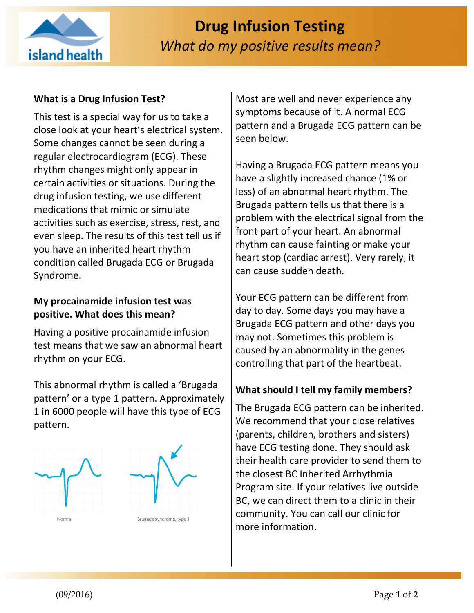

## **What is a Drug Infusion Test?**

This test is a special way for us to take a close look at your heart's electrical system. Some changes cannot be seen during a regular electrocardiogram (ECG). These rhythm changes might only appear in certain activities or situations. During the drug infusion testing, we use different medications that mimic or simulate activities such as exercise, stress, rest, and even sleep. The results of this test tell us if you have an inherited heart rhythm condition called Brugada ECG or Brugada Syndrome.

### **My procainamide infusion test was positive. What does this mean?**

Having a positive procainamide infusion test means that we saw an abnormal heart rhythm on your ECG.

This abnormal rhythm is called a 'Brugada pattern' or a type 1 pattern. Approximately 1 in 6000 people will have this type of ECG pattern.



Most are well and never experience any symptoms because of it. A normal ECG pattern and a Brugada ECG pattern can be seen below.

Having a Brugada ECG pattern means you have a slightly increased chance (1% or less) of an abnormal heart rhythm. The Brugada pattern tells us that there is a problem with the electrical signal from the front part of your heart. An abnormal rhythm can cause fainting or make your heart stop (cardiac arrest). Very rarely, it can cause sudden death.

Your ECG pattern can be different from day to day. Some days you may have a Brugada ECG pattern and other days you may not. Sometimes this problem is caused by an abnormality in the genes controlling that part of the heartbeat.

#### **What should I tell my family members?**

The Brugada ECG pattern can be inherited. We recommend that your close relatives (parents, children, brothers and sisters) have ECG testing done. They should ask their health care provider to send them to the closest BC Inherited Arrhythmia Program site. If your relatives live outside BC, we can direct them to a clinic in their community. You can call our clinic for more information.